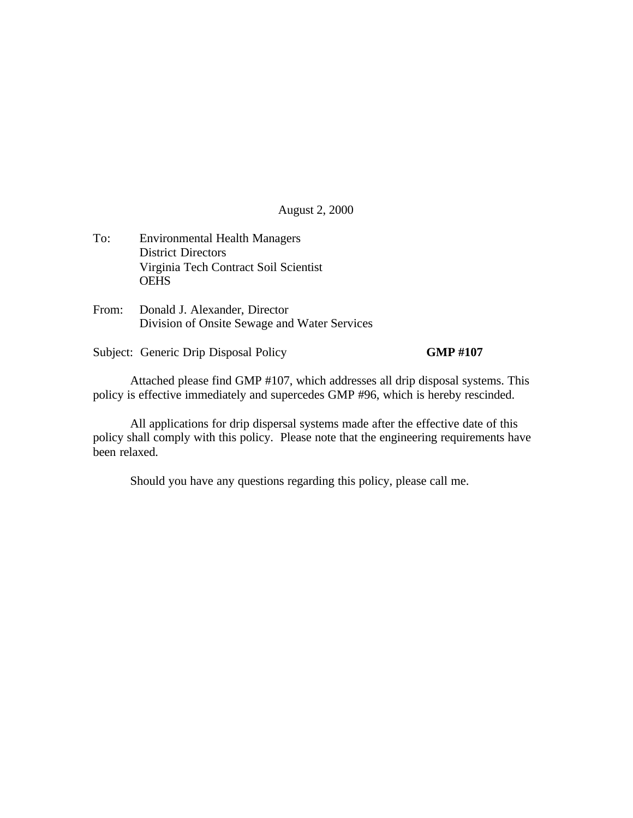August 2, 2000

- To: Environmental Health Managers District Directors Virginia Tech Contract Soil Scientist **OEHS**
- From: Donald J. Alexander, Director Division of Onsite Sewage and Water Services

Subject: Generic Drip Disposal Policy **GMP #107** 

Attached please find GMP #107, which addresses all drip disposal systems. This policy is effective immediately and supercedes GMP #96, which is hereby rescinded.

All applications for drip dispersal systems made after the effective date of this policy shall comply with this policy. Please note that the engineering requirements have been relaxed.

Should you have any questions regarding this policy, please call me.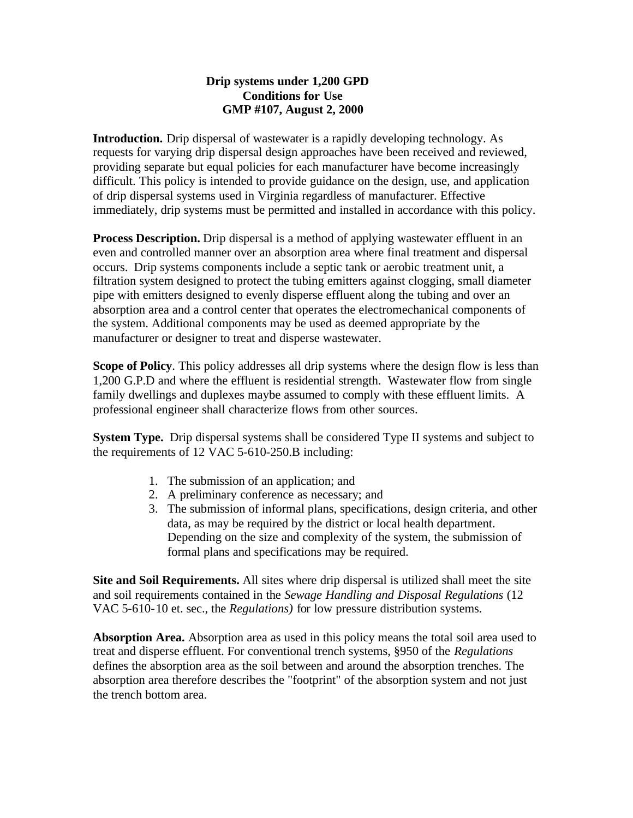# **Drip systems under 1,200 GPD Conditions for Use GMP #107, August 2, 2000**

**Introduction.** Drip dispersal of wastewater is a rapidly developing technology. As requests for varying drip dispersal design approaches have been received and reviewed, providing separate but equal policies for each manufacturer have become increasingly difficult. This policy is intended to provide guidance on the design, use, and application of drip dispersal systems used in Virginia regardless of manufacturer. Effective immediately, drip systems must be permitted and installed in accordance with this policy.

**Process Description.** Drip dispersal is a method of applying wastewater effluent in an even and controlled manner over an absorption area where final treatment and dispersal occurs. Drip systems components include a septic tank or aerobic treatment unit, a filtration system designed to protect the tubing emitters against clogging, small diameter pipe with emitters designed to evenly disperse effluent along the tubing and over an absorption area and a control center that operates the electromechanical components of the system. Additional components may be used as deemed appropriate by the manufacturer or designer to treat and disperse wastewater.

**Scope of Policy**. This policy addresses all drip systems where the design flow is less than 1,200 G.P.D and where the effluent is residential strength. Wastewater flow from single family dwellings and duplexes maybe assumed to comply with these effluent limits. A professional engineer shall characterize flows from other sources.

**System Type.** Drip dispersal systems shall be considered Type II systems and subject to the requirements of 12 VAC 5-610-250.B including:

- 1. The submission of an application; and
- 2. A preliminary conference as necessary; and
- 3. The submission of informal plans, specifications, design criteria, and other data, as may be required by the district or local health department. Depending on the size and complexity of the system, the submission of formal plans and specifications may be required.

**Site and Soil Requirements.** All sites where drip dispersal is utilized shall meet the site and soil requirements contained in the *Sewage Handling and Disposal Regulations* (12 VAC 5-610-10 et. sec., the *Regulations)* for low pressure distribution systems.

**Absorption Area.** Absorption area as used in this policy means the total soil area used to treat and disperse effluent. For conventional trench systems, §950 of the *Regulations* defines the absorption area as the soil between and around the absorption trenches. The absorption area therefore describes the "footprint" of the absorption system and not just the trench bottom area.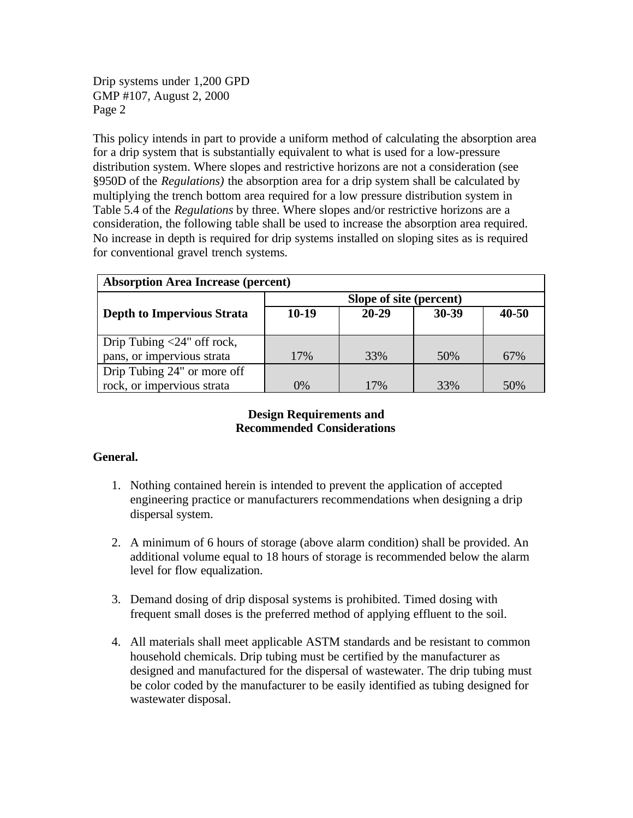Drip systems under 1,200 GPD GMP #107, August 2, 2000 Page 2

This policy intends in part to provide a uniform method of calculating the absorption area for a drip system that is substantially equivalent to what is used for a low-pressure distribution system. Where slopes and restrictive horizons are not a consideration (see §950D of the *Regulations)* the absorption area for a drip system shall be calculated by multiplying the trench bottom area required for a low pressure distribution system in Table 5.4 of the *Regulations* by three. Where slopes and/or restrictive horizons are a consideration, the following table shall be used to increase the absorption area required. No increase in depth is required for drip systems installed on sloping sites as is required for conventional gravel trench systems.

| <b>Absorption Area Increase (percent)</b> |                         |           |       |       |
|-------------------------------------------|-------------------------|-----------|-------|-------|
|                                           | Slope of site (percent) |           |       |       |
| <b>Depth to Impervious Strata</b>         | $10-19$                 | $20 - 29$ | 30-39 | 40-50 |
|                                           |                         |           |       |       |
| Drip Tubing $\langle 24"$ off rock,       |                         |           |       |       |
| pans, or impervious strata                | 17%                     | 33%       | 50%   | 67%   |
| Drip Tubing 24" or more off               |                         |           |       |       |
| rock, or impervious strata                | $0\%$                   | 17%       | 33%   | 50%   |

## **Design Requirements and Recommended Considerations**

# **General.**

- 1. Nothing contained herein is intended to prevent the application of accepted engineering practice or manufacturers recommendations when designing a drip dispersal system.
- 2. A minimum of 6 hours of storage (above alarm condition) shall be provided. An additional volume equal to 18 hours of storage is recommended below the alarm level for flow equalization.
- 3. Demand dosing of drip disposal systems is prohibited. Timed dosing with frequent small doses is the preferred method of applying effluent to the soil.
- 4. All materials shall meet applicable ASTM standards and be resistant to common household chemicals. Drip tubing must be certified by the manufacturer as designed and manufactured for the dispersal of wastewater. The drip tubing must be color coded by the manufacturer to be easily identified as tubing designed for wastewater disposal.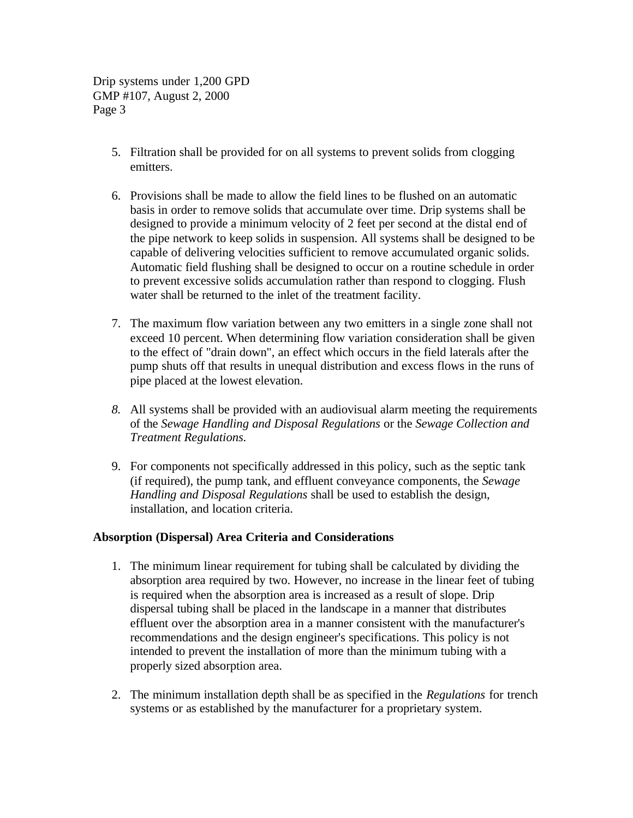Drip systems under 1,200 GPD GMP #107, August 2, 2000 Page 3

- 5. Filtration shall be provided for on all systems to prevent solids from clogging emitters.
- 6. Provisions shall be made to allow the field lines to be flushed on an automatic basis in order to remove solids that accumulate over time. Drip systems shall be designed to provide a minimum velocity of 2 feet per second at the distal end of the pipe network to keep solids in suspension. All systems shall be designed to be capable of delivering velocities sufficient to remove accumulated organic solids. Automatic field flushing shall be designed to occur on a routine schedule in order to prevent excessive solids accumulation rather than respond to clogging. Flush water shall be returned to the inlet of the treatment facility.
- 7. The maximum flow variation between any two emitters in a single zone shall not exceed 10 percent. When determining flow variation consideration shall be given to the effect of "drain down", an effect which occurs in the field laterals after the pump shuts off that results in unequal distribution and excess flows in the runs of pipe placed at the lowest elevation.
- *8.* All systems shall be provided with an audiovisual alarm meeting the requirements of the *Sewage Handling and Disposal Regulations* or the *Sewage Collection and Treatment Regulations.*
- 9. For components not specifically addressed in this policy, such as the septic tank (if required), the pump tank, and effluent conveyance components, the *Sewage Handling and Disposal Regulations* shall be used to establish the design, installation, and location criteria.

## **Absorption (Dispersal) Area Criteria and Considerations**

- 1. The minimum linear requirement for tubing shall be calculated by dividing the absorption area required by two. However, no increase in the linear feet of tubing is required when the absorption area is increased as a result of slope. Drip dispersal tubing shall be placed in the landscape in a manner that distributes effluent over the absorption area in a manner consistent with the manufacturer's recommendations and the design engineer's specifications. This policy is not intended to prevent the installation of more than the minimum tubing with a properly sized absorption area.
- 2. The minimum installation depth shall be as specified in the *Regulations* for trench systems or as established by the manufacturer for a proprietary system.